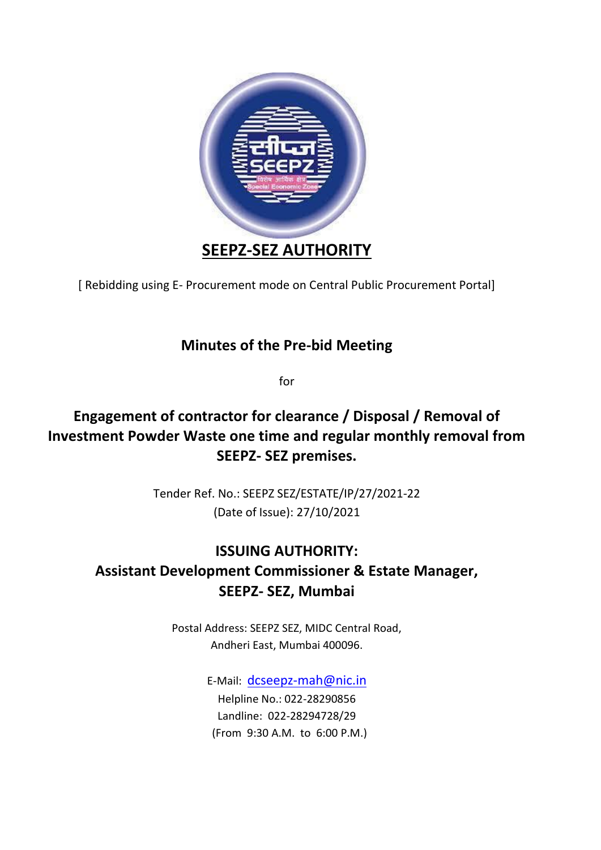

[ Rebidding using E- Procurement mode on Central Public Procurement Portal]

## **Minutes of the Pre-bid Meeting**

for

## **Engagement of contractor for clearance / Disposal / Removal of Investment Powder Waste one time and regular monthly removal from SEEPZ- SEZ premises.**

Tender Ref. No.: SEEPZ SEZ/ESTATE/IP/27/2021-22 (Date of Issue): 27/10/2021

## **ISSUING AUTHORITY: Assistant Development Commissioner & Estate Manager, SEEPZ- SEZ, Mumbai**

Postal Address: SEEPZ SEZ, MIDC Central Road, Andheri East, Mumbai 400096.

> E-Mail: [dcseepz-mah@nic.in](mailto:dcseepz-mah@nic.in) Helpline No.: 022-28290856 Landline: 022-28294728/29 (From 9:30 A.M. to 6:00 P.M.)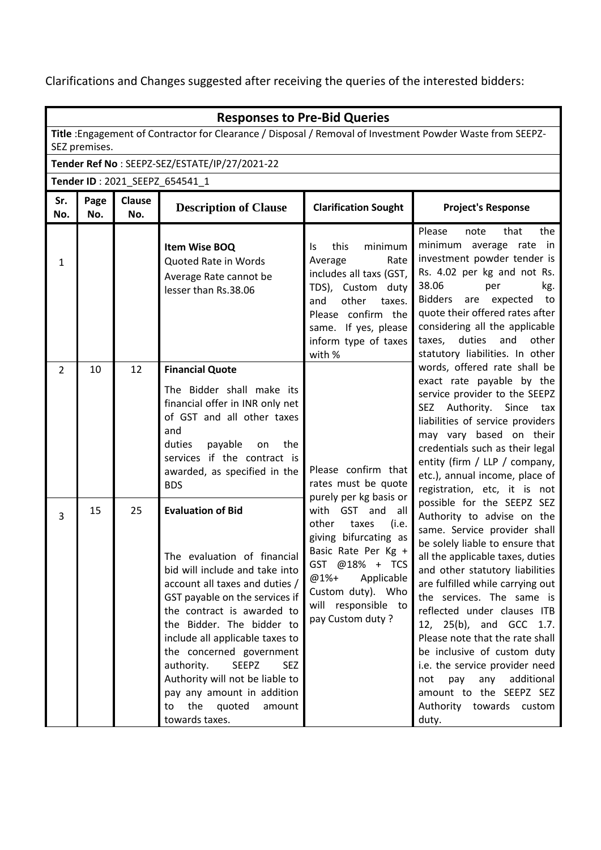Clarifications and Changes suggested after receiving the queries of the interested bidders:

|                                | <b>Responses to Pre-Bid Queries</b>                                                                                         |                      |                                                                                                                                                                                                                                                                                                                                                                                                                                                         |                                                                                                                                                                                                        |                                                                                                                                                                                                                                                                                                                                                                                                                                                                                                                                      |  |  |
|--------------------------------|-----------------------------------------------------------------------------------------------------------------------------|----------------------|---------------------------------------------------------------------------------------------------------------------------------------------------------------------------------------------------------------------------------------------------------------------------------------------------------------------------------------------------------------------------------------------------------------------------------------------------------|--------------------------------------------------------------------------------------------------------------------------------------------------------------------------------------------------------|--------------------------------------------------------------------------------------------------------------------------------------------------------------------------------------------------------------------------------------------------------------------------------------------------------------------------------------------------------------------------------------------------------------------------------------------------------------------------------------------------------------------------------------|--|--|
|                                | Title : Engagement of Contractor for Clearance / Disposal / Removal of Investment Powder Waste from SEEPZ-<br>SEZ premises. |                      |                                                                                                                                                                                                                                                                                                                                                                                                                                                         |                                                                                                                                                                                                        |                                                                                                                                                                                                                                                                                                                                                                                                                                                                                                                                      |  |  |
|                                | Tender Ref No: SEEPZ-SEZ/ESTATE/IP/27/2021-22                                                                               |                      |                                                                                                                                                                                                                                                                                                                                                                                                                                                         |                                                                                                                                                                                                        |                                                                                                                                                                                                                                                                                                                                                                                                                                                                                                                                      |  |  |
| Tender ID: 2021_SEEPZ_654541_1 |                                                                                                                             |                      |                                                                                                                                                                                                                                                                                                                                                                                                                                                         |                                                                                                                                                                                                        |                                                                                                                                                                                                                                                                                                                                                                                                                                                                                                                                      |  |  |
| Sr.<br>No.                     | Page<br>No.                                                                                                                 | <b>Clause</b><br>No. | <b>Description of Clause</b>                                                                                                                                                                                                                                                                                                                                                                                                                            | <b>Clarification Sought</b>                                                                                                                                                                            | <b>Project's Response</b>                                                                                                                                                                                                                                                                                                                                                                                                                                                                                                            |  |  |
| $\mathbf{1}$                   |                                                                                                                             |                      | Item Wise BOQ<br>Quoted Rate in Words<br>Average Rate cannot be<br>lesser than Rs.38.06                                                                                                                                                                                                                                                                                                                                                                 | this<br>minimum<br>ls.<br>Average<br>Rate<br>includes all taxs (GST,<br>TDS), Custom duty<br>other<br>and<br>taxes.<br>Please confirm the<br>same. If yes, please<br>inform type of taxes<br>with %    | Please<br>the<br>note<br>that<br>minimum average rate in<br>investment powder tender is<br>Rs. 4.02 per kg and not Rs.<br>38.06<br>per<br>kg.<br>Bidders are expected<br>to<br>quote their offered rates after<br>considering all the applicable<br>duties<br>and<br>other<br>taxes,<br>statutory liabilities. In other                                                                                                                                                                                                              |  |  |
| $\overline{2}$                 | 10                                                                                                                          | 12                   | <b>Financial Quote</b><br>The Bidder shall make its<br>financial offer in INR only net<br>of GST and all other taxes<br>and<br>duties<br>payable<br>the<br>on<br>services if the contract is<br>awarded, as specified in the<br><b>BDS</b>                                                                                                                                                                                                              | Please confirm that<br>rates must be quote<br>purely per kg basis or                                                                                                                                   | words, offered rate shall be<br>exact rate payable by the<br>service provider to the SEEPZ<br>SEZ Authority. Since tax<br>liabilities of service providers<br>may vary based on their<br>credentials such as their legal<br>entity (firm / LLP / company,<br>etc.), annual income, place of<br>registration, etc, it is not                                                                                                                                                                                                          |  |  |
| 3                              | 15                                                                                                                          | 25                   | <b>Evaluation of Bid</b><br>The evaluation of financial<br>bid will include and take into<br>account all taxes and duties /<br>GST payable on the services if<br>the contract is awarded to<br>the Bidder. The bidder to<br>include all applicable taxes to<br>the concerned government<br><b>SEEPZ</b><br>authority.<br><b>SEZ</b><br>Authority will not be liable to<br>pay any amount in addition<br>the<br>quoted<br>amount<br>to<br>towards taxes. | with GST and<br>all<br>(i.e.<br>other<br>taxes<br>giving bifurcating as<br>Basic Rate Per Kg +<br>GST @18% + TCS<br>@1%+<br>Applicable<br>Custom duty). Who<br>will responsible to<br>pay Custom duty? | possible for the SEEPZ SEZ<br>Authority to advise on the<br>same. Service provider shall<br>be solely liable to ensure that<br>all the applicable taxes, duties<br>and other statutory liabilities<br>are fulfilled while carrying out<br>the services. The same is<br>reflected under clauses ITB<br>12, 25(b), and GCC 1.7.<br>Please note that the rate shall<br>be inclusive of custom duty<br>i.e. the service provider need<br>additional<br>not<br>pay<br>any<br>amount to the SEEPZ SEZ<br>Authority towards custom<br>duty. |  |  |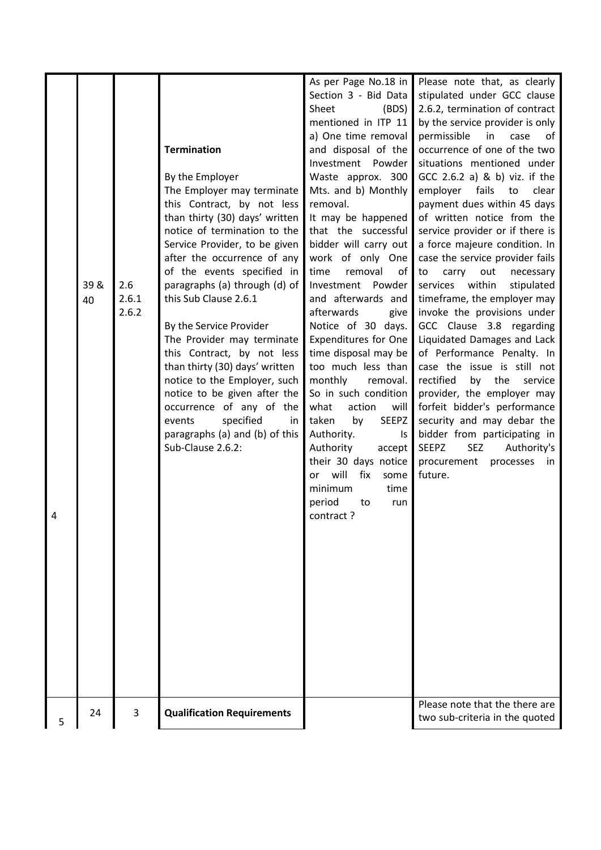|   |      |       |                                   | As per Page No.18 in        | Please note that, as clearly              |
|---|------|-------|-----------------------------------|-----------------------------|-------------------------------------------|
|   |      |       |                                   | Section 3 - Bid Data        | stipulated under GCC clause               |
|   |      |       |                                   | Sheet<br>(BDS)              | 2.6.2, termination of contract            |
|   |      |       |                                   | mentioned in ITP 11         | by the service provider is only           |
|   |      |       |                                   | a) One time removal         | permissible<br>in<br>of<br>case           |
|   |      |       | <b>Termination</b>                | and disposal of the         | occurrence of one of the two              |
|   |      |       |                                   | Investment Powder           | situations mentioned under                |
|   |      |       | By the Employer                   | Waste approx. 300           | GCC 2.6.2 a) & b) viz. if the             |
|   |      |       |                                   |                             |                                           |
|   |      |       | The Employer may terminate        | Mts. and b) Monthly         | employer fails to<br>clear                |
|   |      |       | this Contract, by not less        | removal.                    | payment dues within 45 days               |
|   |      |       | than thirty (30) days' written    | It may be happened          | of written notice from the                |
|   |      |       | notice of termination to the      | that the successful         | service provider or if there is           |
|   |      |       | Service Provider, to be given     | bidder will carry out       | a force majeure condition. In             |
|   |      |       | after the occurrence of any       | work of only One            | case the service provider fails           |
|   |      |       | of the events specified in        | time<br>removal<br>οf       | carry<br>to<br>out<br>necessary           |
|   | 39 & | 2.6   | paragraphs (a) through (d) of     | Investment Powder           | within<br>stipulated<br>services          |
|   | 40   | 2.6.1 | this Sub Clause 2.6.1             | and afterwards and          | timeframe, the employer may               |
|   |      | 2.6.2 |                                   | afterwards<br>give          | invoke the provisions under               |
|   |      |       | By the Service Provider           | Notice of 30 days.          | GCC Clause 3.8 regarding                  |
|   |      |       | The Provider may terminate        | <b>Expenditures for One</b> | Liquidated Damages and Lack               |
|   |      |       |                                   | time disposal may be        |                                           |
|   |      |       | this Contract, by not less        |                             | of Performance Penalty. In                |
|   |      |       | than thirty (30) days' written    | too much less than          | case the issue is still not               |
|   |      |       | notice to the Employer, such      | monthly<br>removal.         | rectified<br>by the<br>service            |
|   |      |       | notice to be given after the      | So in such condition        | provider, the employer may                |
|   |      |       | occurrence of any of the          | what<br>action<br>will      | forfeit bidder's performance              |
|   |      |       | specified<br>events<br><i>in</i>  | by<br>SEEPZ<br>taken        | security and may debar the                |
|   |      |       | paragraphs (a) and (b) of this    | Authority.<br>Is            | bidder from participating in              |
|   |      |       | Sub-Clause 2.6.2:                 | Authority<br>accept         | <b>SEEPZ</b><br><b>SEZ</b><br>Authority's |
|   |      |       |                                   | their 30 days notice        | procurement<br>processes<br>in            |
|   |      |       |                                   | or will<br>fix<br>some      | future.                                   |
|   |      |       |                                   | minimum<br>time             |                                           |
|   |      |       |                                   | period<br>to<br>run         |                                           |
| 4 |      |       |                                   | contract?                   |                                           |
|   |      |       |                                   |                             |                                           |
|   |      |       |                                   |                             |                                           |
|   |      |       |                                   |                             |                                           |
|   |      |       |                                   |                             |                                           |
|   |      |       |                                   |                             |                                           |
|   |      |       |                                   |                             |                                           |
|   |      |       |                                   |                             |                                           |
|   |      |       |                                   |                             |                                           |
|   |      |       |                                   |                             |                                           |
|   |      |       |                                   |                             |                                           |
|   |      |       |                                   |                             |                                           |
|   |      |       |                                   |                             |                                           |
|   |      |       |                                   |                             |                                           |
|   |      |       |                                   |                             |                                           |
|   |      |       |                                   |                             | Please note that the there are            |
|   | 24   | 3     | <b>Qualification Requirements</b> |                             | two sub-criteria in the quoted            |
| 5 |      |       |                                   |                             |                                           |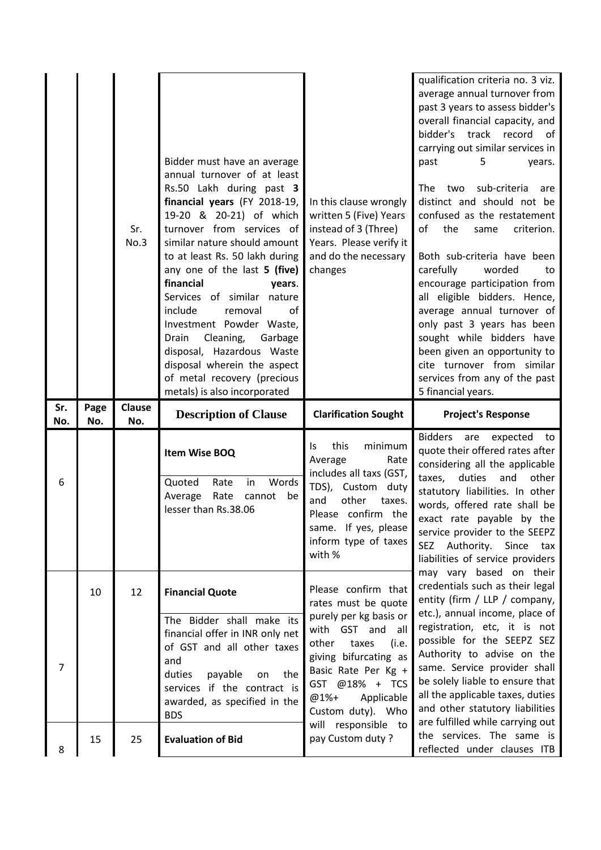|            |             | Sr.<br>No.3   | Bidder must have an average<br>annual turnover of at least<br>Rs.50 Lakh during past 3<br>financial years (FY 2018-19,<br>19-20 & 20-21) of which<br>turnover from services of<br>similar nature should amount<br>to at least Rs. 50 lakh during<br>any one of the last 5 (five)<br>financial<br>years.<br>Services of similar nature<br>of<br>include<br>removal<br>Investment Powder Waste,<br>Drain<br>Cleaning,<br>Garbage<br>disposal, Hazardous Waste<br>disposal wherein the aspect<br>of metal recovery (precious<br>metals) is also incorporated | In this clause wrongly<br>written 5 (Five) Years<br>instead of 3 (Three)<br>Years. Please verify it<br>and do the necessary<br>changes                                                                                                                  | qualification criteria no. 3 viz.<br>average annual turnover from<br>past 3 years to assess bidder's<br>overall financial capacity, and<br>track record<br>bidder's<br>0f<br>carrying out similar services in<br>past<br>5<br>years.<br>sub-criteria<br>The<br>two<br>are<br>distinct and should not be<br>confused as the restatement<br>of<br>the<br>criterion.<br>same<br>Both sub-criteria have been<br>carefully<br>worded<br>to<br>encourage participation from<br>all eligible bidders. Hence,<br>average annual turnover of<br>only past 3 years has been<br>sought while bidders have<br>been given an opportunity to<br>cite turnover from similar<br>services from any of the past<br>5 financial years. |
|------------|-------------|---------------|-----------------------------------------------------------------------------------------------------------------------------------------------------------------------------------------------------------------------------------------------------------------------------------------------------------------------------------------------------------------------------------------------------------------------------------------------------------------------------------------------------------------------------------------------------------|---------------------------------------------------------------------------------------------------------------------------------------------------------------------------------------------------------------------------------------------------------|---------------------------------------------------------------------------------------------------------------------------------------------------------------------------------------------------------------------------------------------------------------------------------------------------------------------------------------------------------------------------------------------------------------------------------------------------------------------------------------------------------------------------------------------------------------------------------------------------------------------------------------------------------------------------------------------------------------------|
| Sr.<br>No. | Page<br>No. | Clause<br>No. | <b>Description of Clause</b>                                                                                                                                                                                                                                                                                                                                                                                                                                                                                                                              | <b>Clarification Sought</b>                                                                                                                                                                                                                             | <b>Project's Response</b>                                                                                                                                                                                                                                                                                                                                                                                                                                                                                                                                                                                                                                                                                           |
| 6          |             |               | Item Wise BOQ                                                                                                                                                                                                                                                                                                                                                                                                                                                                                                                                             | this<br>minimum<br>ls.<br>Average<br>Rate<br>includes all taxs (GST,                                                                                                                                                                                    | <b>Bidders</b><br>are expected<br>to<br>quote their offered rates after<br>considering all the applicable                                                                                                                                                                                                                                                                                                                                                                                                                                                                                                                                                                                                           |
|            |             |               | Quoted<br>Rate<br>Words<br>in<br>Rate<br>Average<br>cannot<br>be<br>lesser than Rs.38.06                                                                                                                                                                                                                                                                                                                                                                                                                                                                  | TDS), Custom<br>duty<br>and<br>other<br>taxes.<br>Please confirm the<br>same. If yes, please<br>inform type of taxes<br>with %                                                                                                                          | other<br>taxes,<br>duties<br>and<br>statutory liabilities. In other<br>words, offered rate shall be<br>exact rate payable by the<br>service provider to the SEEPZ<br>SEZ Authority. Since tax<br>liabilities of service providers                                                                                                                                                                                                                                                                                                                                                                                                                                                                                   |
| 7          | 10          | 12            | <b>Financial Quote</b><br>The Bidder shall make its<br>financial offer in INR only net<br>of GST and all other taxes<br>and<br>duties<br>payable<br>the<br>on<br>services if the contract is<br>awarded, as specified in the<br><b>BDS</b>                                                                                                                                                                                                                                                                                                                | Please confirm that<br>rates must be quote<br>purely per kg basis or<br>with GST and all<br>other<br>(i.e.<br>taxes<br>giving bifurcating as<br>Basic Rate Per Kg +<br>GST @18% + TCS<br>Applicable<br>@1%+<br>Custom duty). Who<br>will responsible to | may vary based on their<br>credentials such as their legal<br>entity (firm / LLP / company,<br>etc.), annual income, place of<br>registration, etc, it is not<br>possible for the SEEPZ SEZ<br>Authority to advise on the<br>same. Service provider shall<br>be solely liable to ensure that<br>all the applicable taxes, duties<br>and other statutory liabilities<br>are fulfilled while carrying out                                                                                                                                                                                                                                                                                                             |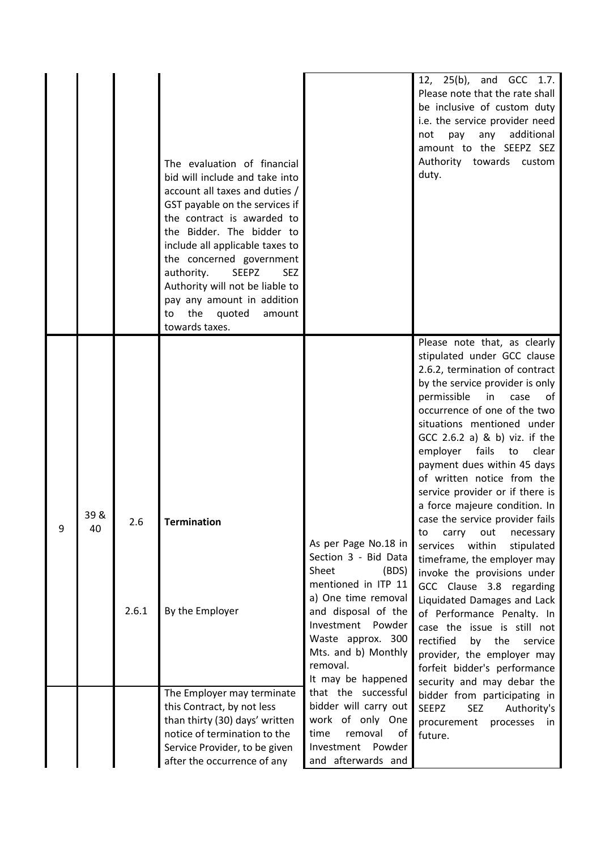|   |            |              | The evaluation of financial<br>bid will include and take into<br>account all taxes and duties /<br>GST payable on the services if<br>the contract is awarded to<br>the Bidder. The bidder to<br>include all applicable taxes to<br>the concerned government<br>authority.<br><b>SEEPZ</b><br><b>SEZ</b><br>Authority will not be liable to<br>pay any amount in addition<br>the<br>quoted<br>amount<br>to<br>towards taxes. |                                                                                                                                                                                                                     | 12, 25(b), and GCC 1.7.<br>Please note that the rate shall<br>be inclusive of custom duty<br>i.e. the service provider need<br>additional<br>not<br>pay<br>any<br>amount to the SEEPZ SEZ<br>Authority towards<br>custom<br>duty.                                                                                                                                                                                                                                                                                                                                                                                                                                                                                                                                                                                                         |
|---|------------|--------------|-----------------------------------------------------------------------------------------------------------------------------------------------------------------------------------------------------------------------------------------------------------------------------------------------------------------------------------------------------------------------------------------------------------------------------|---------------------------------------------------------------------------------------------------------------------------------------------------------------------------------------------------------------------|-------------------------------------------------------------------------------------------------------------------------------------------------------------------------------------------------------------------------------------------------------------------------------------------------------------------------------------------------------------------------------------------------------------------------------------------------------------------------------------------------------------------------------------------------------------------------------------------------------------------------------------------------------------------------------------------------------------------------------------------------------------------------------------------------------------------------------------------|
| 9 | 39 &<br>40 | 2.6<br>2.6.1 | <b>Termination</b><br>By the Employer                                                                                                                                                                                                                                                                                                                                                                                       | As per Page No.18 in<br>Section 3 - Bid Data<br>Sheet<br>(BDS)<br>mentioned in ITP 11<br>a) One time removal<br>and disposal of the<br>Investment<br>Powder<br>Waste approx. 300<br>Mts. and b) Monthly<br>removal. | Please note that, as clearly<br>stipulated under GCC clause<br>2.6.2, termination of contract<br>by the service provider is only<br>permissible<br>in<br>case<br>of<br>occurrence of one of the two<br>situations mentioned under<br>$GCC 2.6.2 a)$ & b) viz. if the<br>employer fails<br>clear<br>to<br>payment dues within 45 days<br>of written notice from the<br>service provider or if there is<br>a force majeure condition. In<br>case the service provider fails<br>to<br>carry<br>necessary<br>out<br>within<br>services<br>stipulated<br>timeframe, the employer may<br>invoke the provisions under<br>GCC Clause 3.8 regarding<br>Liquidated Damages and Lack<br>of Performance Penalty. In<br>case the issue is still not<br>rectified<br>by<br>the<br>service<br>provider, the employer may<br>forfeit bidder's performance |
|   |            |              | The Employer may terminate<br>this Contract, by not less<br>than thirty (30) days' written<br>notice of termination to the<br>Service Provider, to be given<br>after the occurrence of any                                                                                                                                                                                                                                  | It may be happened<br>that the successful<br>bidder will carry out<br>work of only One<br>time<br>removal<br>of<br>Investment Powder<br>and afterwards and                                                          | security and may debar the<br>bidder from participating in<br><b>SEEPZ</b><br><b>SEZ</b><br>Authority's<br>procurement<br>processes<br>in<br>future.                                                                                                                                                                                                                                                                                                                                                                                                                                                                                                                                                                                                                                                                                      |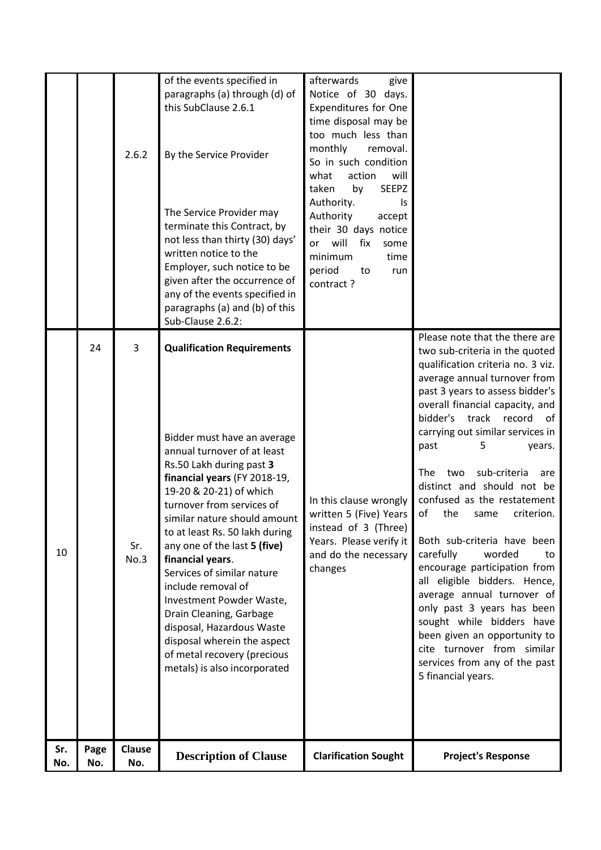| Sr.<br>No. | Page<br>No. | <b>Clause</b><br>No. | <b>Description of Clause</b>                                                                                                                                                                                                                                                                                                                                                                                                                                                                                                                                                    | <b>Clarification Sought</b>                                                                                                                                                                                                                                                                                                                                                          | <b>Project's Response</b>                                                                                                                                                                                                                                                                                                                                                                                                                                                                                                                                                                                                                                                                                                                              |
|------------|-------------|----------------------|---------------------------------------------------------------------------------------------------------------------------------------------------------------------------------------------------------------------------------------------------------------------------------------------------------------------------------------------------------------------------------------------------------------------------------------------------------------------------------------------------------------------------------------------------------------------------------|--------------------------------------------------------------------------------------------------------------------------------------------------------------------------------------------------------------------------------------------------------------------------------------------------------------------------------------------------------------------------------------|--------------------------------------------------------------------------------------------------------------------------------------------------------------------------------------------------------------------------------------------------------------------------------------------------------------------------------------------------------------------------------------------------------------------------------------------------------------------------------------------------------------------------------------------------------------------------------------------------------------------------------------------------------------------------------------------------------------------------------------------------------|
| 10         | 24          | 3<br>Sr.<br>No.3     | <b>Qualification Requirements</b><br>Bidder must have an average<br>annual turnover of at least<br>Rs.50 Lakh during past 3<br>financial years (FY 2018-19,<br>19-20 & 20-21) of which<br>turnover from services of<br>similar nature should amount<br>to at least Rs. 50 lakh during<br>any one of the last 5 (five)<br>financial years.<br>Services of similar nature<br>include removal of<br>Investment Powder Waste,<br>Drain Cleaning, Garbage<br>disposal, Hazardous Waste<br>disposal wherein the aspect<br>of metal recovery (precious<br>metals) is also incorporated | In this clause wrongly<br>written 5 (Five) Years<br>instead of 3 (Three)<br>Years. Please verify it<br>and do the necessary<br>changes                                                                                                                                                                                                                                               | two sub-criteria in the quoted<br>qualification criteria no. 3 viz.<br>average annual turnover from<br>past 3 years to assess bidder's<br>overall financial capacity, and<br>bidder's track record of<br>carrying out similar services in<br>5<br>past<br>years.<br>sub-criteria<br><b>The</b><br>two<br>are<br>distinct and should not be<br>confused as the restatement<br>of<br>the<br>criterion.<br>same<br>Both sub-criteria have been<br>carefully<br>worded<br>to<br>encourage participation from<br>all eligible bidders. Hence,<br>average annual turnover of<br>only past 3 years has been<br>sought while bidders have<br>been given an opportunity to<br>cite turnover from similar<br>services from any of the past<br>5 financial years. |
|            |             | 2.6.2                | of the events specified in<br>paragraphs (a) through (d) of<br>this SubClause 2.6.1<br>By the Service Provider<br>The Service Provider may<br>terminate this Contract, by<br>not less than thirty (30) days'<br>written notice to the<br>Employer, such notice to be<br>given after the occurrence of<br>any of the events specified in<br>paragraphs (a) and (b) of this<br>Sub-Clause 2.6.2:                                                                                                                                                                                  | afterwards<br>give<br>Notice of 30 days.<br><b>Expenditures for One</b><br>time disposal may be<br>too much less than<br>monthly<br>removal.<br>So in such condition<br>action<br>what<br>will<br><b>SEEPZ</b><br>by<br>taken<br>Authority.<br>Is<br>Authority<br>accept<br>their 30 days notice<br>will<br>fix<br>or<br>some<br>minimum<br>time<br>period<br>to<br>run<br>contract? | Please note that the there are                                                                                                                                                                                                                                                                                                                                                                                                                                                                                                                                                                                                                                                                                                                         |
|            |             |                      |                                                                                                                                                                                                                                                                                                                                                                                                                                                                                                                                                                                 |                                                                                                                                                                                                                                                                                                                                                                                      |                                                                                                                                                                                                                                                                                                                                                                                                                                                                                                                                                                                                                                                                                                                                                        |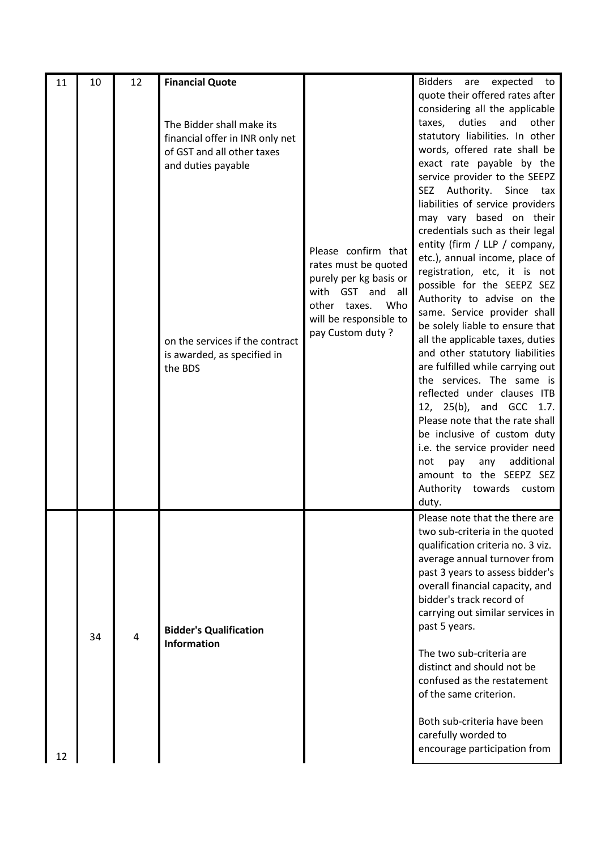| 11 | 10 | 12 | <b>Financial Quote</b><br>The Bidder shall make its<br>financial offer in INR only net<br>of GST and all other taxes<br>and duties payable<br>on the services if the contract<br>is awarded, as specified in<br>the BDS | Please confirm that<br>rates must be quoted<br>purely per kg basis or<br>with GST and all<br>other taxes. Who<br>will be responsible to<br>pay Custom duty? | Bidders are<br>expected to<br>quote their offered rates after<br>considering all the applicable<br>duties<br>other<br>taxes,<br>and<br>statutory liabilities. In other<br>words, offered rate shall be<br>exact rate payable by the<br>service provider to the SEEPZ<br>SEZ Authority. Since tax<br>liabilities of service providers<br>may vary based on their<br>credentials such as their legal<br>entity (firm / LLP / company,<br>etc.), annual income, place of<br>registration, etc, it is not<br>possible for the SEEPZ SEZ<br>Authority to advise on the<br>same. Service provider shall<br>be solely liable to ensure that<br>all the applicable taxes, duties<br>and other statutory liabilities<br>are fulfilled while carrying out<br>the services. The same is<br>reflected under clauses ITB<br>12, 25(b), and GCC 1.7.<br>Please note that the rate shall<br>be inclusive of custom duty<br>i.e. the service provider need<br>additional<br>not<br>pay<br>any<br>amount to the SEEPZ SEZ<br>Authority towards custom<br>duty. |
|----|----|----|-------------------------------------------------------------------------------------------------------------------------------------------------------------------------------------------------------------------------|-------------------------------------------------------------------------------------------------------------------------------------------------------------|-----------------------------------------------------------------------------------------------------------------------------------------------------------------------------------------------------------------------------------------------------------------------------------------------------------------------------------------------------------------------------------------------------------------------------------------------------------------------------------------------------------------------------------------------------------------------------------------------------------------------------------------------------------------------------------------------------------------------------------------------------------------------------------------------------------------------------------------------------------------------------------------------------------------------------------------------------------------------------------------------------------------------------------------------|
| 12 | 34 | 4  | <b>Bidder's Qualification</b><br><b>Information</b>                                                                                                                                                                     |                                                                                                                                                             | Please note that the there are<br>two sub-criteria in the quoted<br>qualification criteria no. 3 viz.<br>average annual turnover from<br>past 3 years to assess bidder's<br>overall financial capacity, and<br>bidder's track record of<br>carrying out similar services in<br>past 5 years.<br>The two sub-criteria are<br>distinct and should not be<br>confused as the restatement<br>of the same criterion.<br>Both sub-criteria have been<br>carefully worded to<br>encourage participation from                                                                                                                                                                                                                                                                                                                                                                                                                                                                                                                                         |